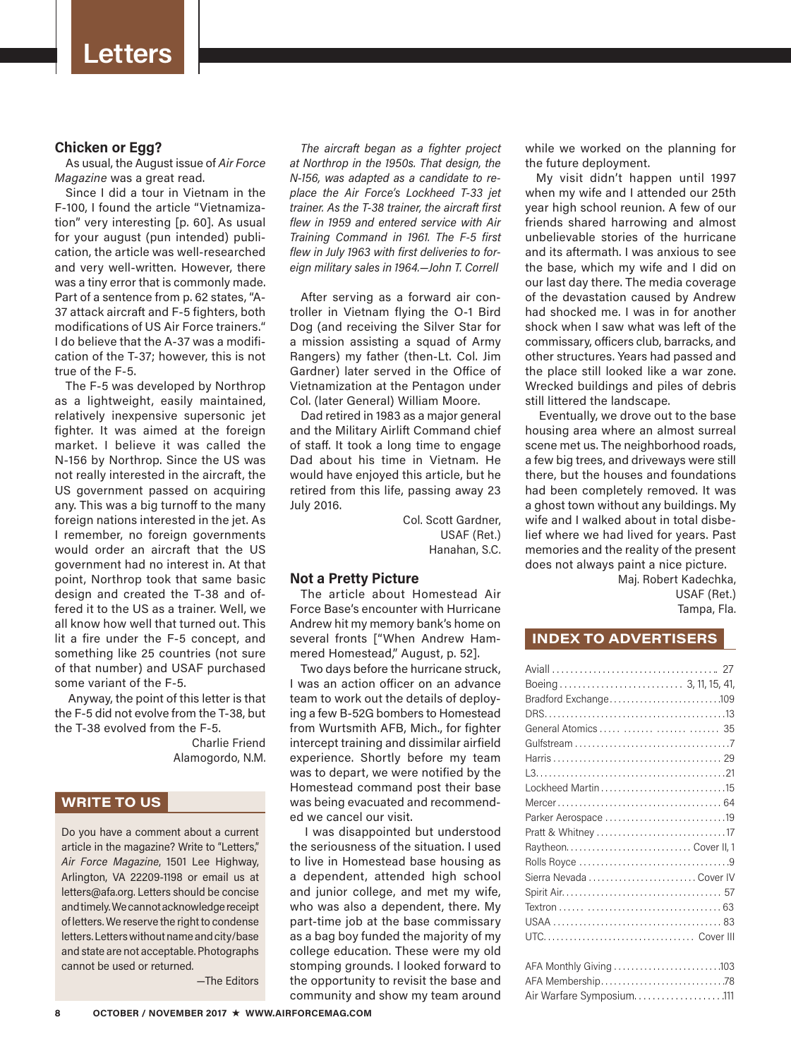## **Chicken or Egg?**

As usual, the August issue of *Air Force Magazine* was a great read.

Since I did a tour in Vietnam in the F-100, I found the article "Vietnamization" very interesting [p. 60]. As usual for your august (pun intended) publication, the article was well-researched and very well-written. However, there was a tiny error that is commonly made. Part of a sentence from p. 62 states, "A-37 attack aircraft and F-5 fighters, both modifications of US Air Force trainers." I do believe that the A-37 was a modification of the T-37; however, this is not true of the F-5.

The F-5 was developed by Northrop as a lightweight, easily maintained, relatively inexpensive supersonic jet fighter. It was aimed at the foreign market. I believe it was called the N-156 by Northrop. Since the US was not really interested in the aircraft, the US government passed on acquiring any. This was a big turnoff to the many foreign nations interested in the jet. As I remember, no foreign governments would order an aircraft that the US government had no interest in. At that point, Northrop took that same basic design and created the T-38 and offered it to the US as a trainer. Well, we all know how well that turned out. This lit a fire under the F-5 concept, and something like 25 countries (not sure of that number) and USAF purchased some variant of the F-5.

 Anyway, the point of this letter is that the F-5 did not evolve from the T-38, but the T-38 evolved from the F-5.

 Charlie Friend Alamogordo, N.M.

# **WRITE TO US**

Do you have a comment about a current article in the magazine? Write to "Letters," *Air Force Magazine*, 1501 Lee Highway, Arlington, VA 22209-1198 or email us at letters@afa.org. Letters should be concise and timely. We cannot acknowledge receipt of letters. We reserve the right to condense letters. Letters without name and city/base and state are not acceptable. Photographs cannot be used or returned.

—The Editors

*The aircraft began as a fighter project at Northrop in the 1950s. That design, the N-156, was adapted as a candidate to replace the Air Force's Lockheed T-33 jet trainer. As the T-38 trainer, the aircraft first flew in 1959 and entered service with Air Training Command in 1961. The F-5 first flew in July 1963 with first deliveries to foreign military sales in 1964.—John T. Correll*

After serving as a forward air controller in Vietnam flying the O-1 Bird Dog (and receiving the Silver Star for a mission assisting a squad of Army Rangers) my father (then-Lt. Col. Jim Gardner) later served in the Office of Vietnamization at the Pentagon under Col. (later General) William Moore.

Dad retired in 1983 as a major general and the Military Airlift Command chief of staff. It took a long time to engage Dad about his time in Vietnam. He would have enjoyed this article, but he retired from this life, passing away 23 July 2016.

> Col. Scott Gardner, USAF (Ret.) Hanahan, S.C.

## **Not a Pretty Picture**

The article about Homestead Air Force Base's encounter with Hurricane Andrew hit my memory bank's home on several fronts ["When Andrew Hammered Homestead," August, p. 52].

Two days before the hurricane struck, I was an action officer on an advance team to work out the details of deploying a few B-52G bombers to Homestead from Wurtsmith AFB, Mich., for fighter intercept training and dissimilar airfield experience. Shortly before my team was to depart, we were notified by the Homestead command post their base was being evacuated and recommended we cancel our visit.

 I was disappointed but understood the seriousness of the situation. I used to live in Homestead base housing as a dependent, attended high school and junior college, and met my wife, who was also a dependent, there. My part-time job at the base commissary as a bag boy funded the majority of my college education. These were my old stomping grounds. I looked forward to the opportunity to revisit the base and community and show my team around while we worked on the planning for the future deployment.

My visit didn't happen until 1997 when my wife and I attended our 25th year high school reunion. A few of our friends shared harrowing and almost unbelievable stories of the hurricane and its aftermath. I was anxious to see the base, which my wife and I did on our last day there. The media coverage of the devastation caused by Andrew had shocked me. I was in for another shock when I saw what was left of the commissary, officers club, barracks, and other structures. Years had passed and the place still looked like a war zone. Wrecked buildings and piles of debris still littered the landscape.

 Eventually, we drove out to the base housing area where an almost surreal scene met us. The neighborhood roads, a few big trees, and driveways were still there, but the houses and foundations had been completely removed. It was a ghost town without any buildings. My wife and I walked about in total disbelief where we had lived for years. Past memories and the reality of the present does not always paint a nice picture.

> Maj. Robert Kadechka, USAF (Ret.) Tampa, Fla.

### **INDEX TO ADVERTISERS**

| Lockheed Martin 15       |  |
|--------------------------|--|
|                          |  |
|                          |  |
|                          |  |
|                          |  |
|                          |  |
| Sierra Nevada  Cover IV  |  |
|                          |  |
|                          |  |
|                          |  |
|                          |  |
|                          |  |
|                          |  |
|                          |  |
| Air Warfare Symposium111 |  |